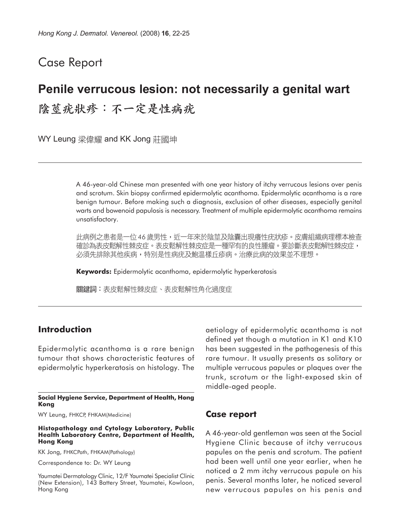## Case Report

# **Penile verrucous lesion: not necessarily a genital wart** 陰莖疣狀疹:不一定是性病疣

WY Leung 梁偉耀 and KK Jong 莊國坤

A 46-year-old Chinese man presented with one year history of itchy verrucous lesions over penis and scrotum. Skin biopsy confirmed epidermolytic acanthoma. Epidermolytic acanthoma is a rare benign tumour. Before making such a diagnosis, exclusion of other diseases, especially genital warts and bowenoid papulosis is necessary. Treatment of multiple epidermolytic acanthoma remains unsatisfactory.

此病例之患者是一位 46 歲男性,近一年來於陰莖及陰囊出現癢性疣狀疹。皮膚組織病理標本檢查 確診為表皮鬆解性棘皮症。表皮鬆解性棘皮症是一種罕有的良性腫瘤。要診斷表皮鬆解性棘皮症, 必須先排除其他疾病,特別是性病疣及鮑温樣丘疹病。治療此病的效果並不理想。

**Keywords:** Epidermolytic acanthoma, epidermolytic hyperkeratosis

關鍵詞:表皮鬆解性棘皮症、表皮鬆解性角化過度症

## **Introduction**

Epidermolytic acanthoma is a rare benign tumour that shows characteristic features of epidermolytic hyperkeratosis on histology. The

#### **Social Hygiene Service, Department of Health, Hong Kong**

WY Leung, FHKCP, FHKAM(Medicine)

#### **Histopathology and Cytology Laboratory, Public Health Laboratory Centre, Department of Health, Hong Kong**

KK Jong, FHKCPath, FHKAM(Pathology)

Correspondence to: Dr. WY Leung

Yaumatei Dermatology Clinic, 12/F Yaumatei Specialist Clinic (New Extension), 143 Battery Street, Yaumatei, Kowloon, Hong Kong

aetiology of epidermolytic acanthoma is not defined yet though a mutation in K1 and K10 has been suggested in the pathogenesis of this rare tumour. It usually presents as solitary or multiple verrucous papules or plaques over the trunk, scrotum or the light-exposed skin of middle-aged people.

### **Case report**

A 46-year-old gentleman was seen at the Social Hygiene Clinic because of itchy verrucous papules on the penis and scrotum. The patient had been well until one year earlier, when he noticed a 2 mm itchy verrucous papule on his penis. Several months later, he noticed several new verrucous papules on his penis and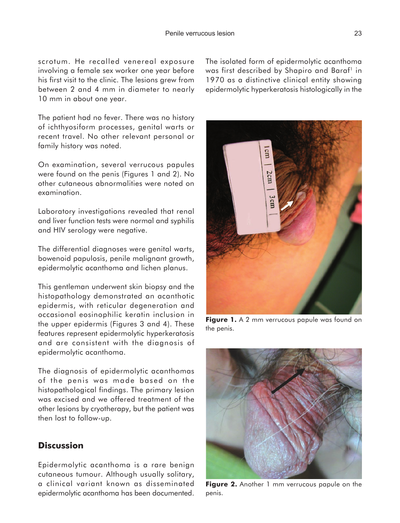scrotum. He recalled venereal exposure involving a female sex worker one year before his first visit to the clinic. The lesions grew from between 2 and 4 mm in diameter to nearly 10 mm in about one year.

The patient had no fever. There was no history of ichthyosiform processes, genital warts or recent travel. No other relevant personal or family history was noted.

On examination, several verrucous papules were found on the penis (Figures 1 and 2). No other cutaneous abnormalities were noted on examination.

Laboratory investigations revealed that renal and liver function tests were normal and syphilis and HIV serology were negative.

The differential diagnoses were genital warts, bowenoid papulosis, penile malignant growth, epidermolytic acanthoma and lichen planus.

This gentleman underwent skin biopsy and the histopathology demonstrated an acanthotic epidermis, with reticular degeneration and occasional eosinophilic keratin inclusion in the upper epidermis (Figures 3 and 4). These features represent epidermolytic hyperkeratosis and are consistent with the diagnosis of epidermolytic acanthoma.

The diagnosis of epidermolytic acanthomas of the penis was made based on the histopathological findings. The primary lesion was excised and we offered treatment of the other lesions by cryotherapy, but the patient was then lost to follow-up.

## **Discussion**

Epidermolytic acanthoma is a rare benign cutaneous tumour. Although usually solitary, a clinical variant known as disseminated epidermolytic acanthoma has been documented.

The isolated form of epidermolytic acanthoma was first described by Shapiro and Baraf<sup>1</sup> in 1970 as a distinctive clinical entity showing epidermolytic hyperkeratosis histologically in the



**Figure 1.** A 2 mm verrucous papule was found on the penis.



**Figure 2.** Another 1 mm verrucous papule on the penis.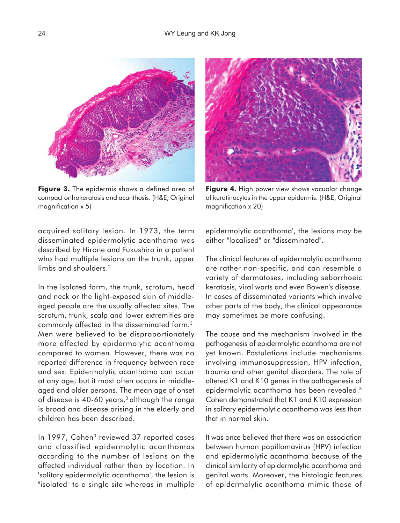

**Figure 3.** The epidermis shows a defined area of compact orthokeratosis and acanthosis. (H&E, Original magnification x 5)



**Figure 4.** High power view shows vacuolar change of keratinocytes in the upper epidermis. (H&E, Original magnification x 20)

acquired solitary lesion. In 1973, the term disseminated epidermolytic acanthoma was described by Hirone and Fukushiro in a patient who had multiple lesions on the trunk, upper limbs and shoulders.<sup>2</sup>

In the isolated form, the trunk, scrotum, head and neck or the light-exposed skin of middleaged people are the usually affected sites. The scrotum, trunk, scalp and lower extremities are commonly affected in the disseminated form.3 Men were believed to be disproportionately more affected by epidermolytic acanthoma compared to women. However, there was no reported difference in frequency between race and sex. Epidermolytic acanthoma can occur at any age, but it most often occurs in middleaged and older persons. The mean age of onset of disease is 40-60 years, $3$  although the range is broad and disease arising in the elderly and children has been described.

In 1997, Cohen<sup>3</sup> reviewed 37 reported cases and classified epidermolytic acanthomas according to the number of lesions on the affected individual rather than by location. In 'solitary epidermolytic acanthoma', the lesion is "isolated" to a single site whereas in 'multiple epidermolytic acanthoma', the lesions may be either "localised" or "disseminated".

The clinical features of epidermolytic acanthoma are rather non-specific, and can resemble a variety of dermatoses, including seborrhoeic keratosis, viral warts and even Bowen's disease. In cases of disseminated variants which involve other parts of the body, the clinical appearance may sometimes be more confusing.

The cause and the mechanism involved in the pathogenesis of epidermolytic acanthoma are not yet known. Postulations include mechanisms involving immunosuppression, HPV infection, trauma and other genital disorders. The role of altered K1 and K10 genes in the pathogenesis of epidermolytic acanthoma has been revealed.3 Cohen demonstrated that K1 and K10 expression in solitary epidermolytic acanthoma was less than that in normal skin.

It was once believed that there was an association between human papillomavirus (HPV) infection and epidermolytic acanthoma because of the clinical similarity of epidermolytic acanthoma and genital warts. Moreover, the histologic features of epidermolytic acanthoma mimic those of